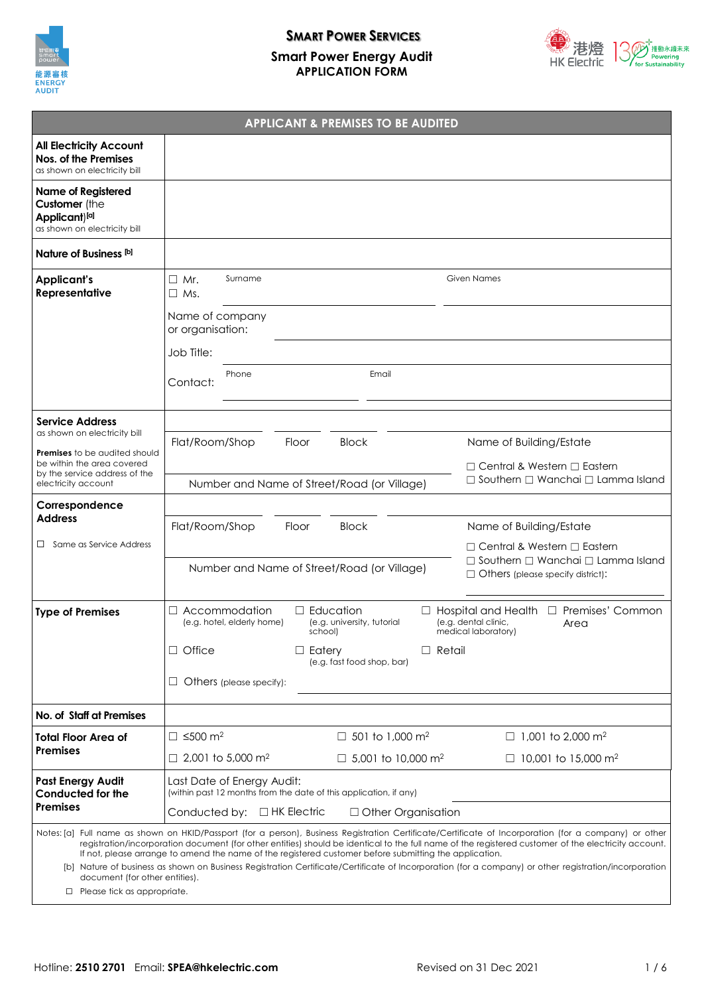

# **SMART POWER SERVICES Smart Power Energy Audit APPLICATION FORM**



| <b>APPLICANT &amp; PREMISES TO BE AUDITED</b>                                                                                                                                                                                                                                                                                                                                                                                                                                                                                                                                      |                                                                                                                    |                                                                                                                                           |
|------------------------------------------------------------------------------------------------------------------------------------------------------------------------------------------------------------------------------------------------------------------------------------------------------------------------------------------------------------------------------------------------------------------------------------------------------------------------------------------------------------------------------------------------------------------------------------|--------------------------------------------------------------------------------------------------------------------|-------------------------------------------------------------------------------------------------------------------------------------------|
| <b>All Electricity Account</b><br>Nos. of the Premises<br>as shown on electricity bill                                                                                                                                                                                                                                                                                                                                                                                                                                                                                             |                                                                                                                    |                                                                                                                                           |
| <b>Name of Registered</b><br>Customer (the<br>Applicant)[a]<br>as shown on electricity bill                                                                                                                                                                                                                                                                                                                                                                                                                                                                                        |                                                                                                                    |                                                                                                                                           |
| Nature of Business [b]                                                                                                                                                                                                                                                                                                                                                                                                                                                                                                                                                             |                                                                                                                    |                                                                                                                                           |
| <b>Applicant's</b><br>Representative                                                                                                                                                                                                                                                                                                                                                                                                                                                                                                                                               | Surname<br>$\Box$ Mr.<br>$\Box$ Ms.                                                                                | <b>Given Names</b>                                                                                                                        |
|                                                                                                                                                                                                                                                                                                                                                                                                                                                                                                                                                                                    | Name of company<br>or organisation:                                                                                |                                                                                                                                           |
|                                                                                                                                                                                                                                                                                                                                                                                                                                                                                                                                                                                    | Job Title:                                                                                                         |                                                                                                                                           |
|                                                                                                                                                                                                                                                                                                                                                                                                                                                                                                                                                                                    | Phone<br>Email<br>Contact:                                                                                         |                                                                                                                                           |
| <b>Service Address</b>                                                                                                                                                                                                                                                                                                                                                                                                                                                                                                                                                             |                                                                                                                    |                                                                                                                                           |
| as shown on electricity bill                                                                                                                                                                                                                                                                                                                                                                                                                                                                                                                                                       | Flat/Room/Shop<br><b>Block</b><br>Floor                                                                            | Name of Building/Estate                                                                                                                   |
| Premises to be audited should<br>be within the area covered<br>by the service address of the<br>electricity account                                                                                                                                                                                                                                                                                                                                                                                                                                                                |                                                                                                                    | $\Box$ Central & Western $\Box$ Eastern                                                                                                   |
|                                                                                                                                                                                                                                                                                                                                                                                                                                                                                                                                                                                    | Number and Name of Street/Road (or Village)                                                                        | $\Box$ Southern $\Box$ Wanchai $\Box$ Lamma Island                                                                                        |
| Correspondence<br><b>Address</b>                                                                                                                                                                                                                                                                                                                                                                                                                                                                                                                                                   |                                                                                                                    |                                                                                                                                           |
|                                                                                                                                                                                                                                                                                                                                                                                                                                                                                                                                                                                    | Flat/Room/Shop<br>Floor<br><b>Block</b>                                                                            | Name of Building/Estate                                                                                                                   |
| $\Box$ Same as Service Address                                                                                                                                                                                                                                                                                                                                                                                                                                                                                                                                                     | Number and Name of Street/Road (or Village)                                                                        | $\Box$ Central & Western $\Box$ Eastern<br>$\Box$ Southern $\Box$ Wanchai $\Box$ Lamma Island<br>$\Box$ Others (please specify district): |
| <b>Type of Premises</b>                                                                                                                                                                                                                                                                                                                                                                                                                                                                                                                                                            | Accommodation<br>$\Box$ Education<br>$\Box$<br>(e.g. hotel, elderly home)<br>(e.g. university, tutorial<br>school) | Premises' Common<br>$\Box$ Hospital and Health<br>$\Box$<br>(e.g. dental clinic,<br>Area<br>medical laboratory)                           |
|                                                                                                                                                                                                                                                                                                                                                                                                                                                                                                                                                                                    | $\Box$ Office<br>$\Box$ Eatery<br>$\Box$ Retail<br>(e.g. fast food shop, bar)                                      |                                                                                                                                           |
|                                                                                                                                                                                                                                                                                                                                                                                                                                                                                                                                                                                    | Others (please specify):                                                                                           |                                                                                                                                           |
| No. of Staff at Premises                                                                                                                                                                                                                                                                                                                                                                                                                                                                                                                                                           |                                                                                                                    |                                                                                                                                           |
| Total Floor Area of<br><b>Premises</b>                                                                                                                                                                                                                                                                                                                                                                                                                                                                                                                                             | $\square$ ≤500 m <sup>2</sup><br>□ 501 to 1,000 m <sup>2</sup>                                                     | □ 1,001 to 2,000 m <sup>2</sup>                                                                                                           |
|                                                                                                                                                                                                                                                                                                                                                                                                                                                                                                                                                                                    | □ 2,001 to 5,000 m <sup>2</sup><br>□ 5,001 to 10,000 m <sup>2</sup>                                                | □ 10,001 to 15,000 m <sup>2</sup>                                                                                                         |
| <b>Past Energy Audit</b><br>Conducted for the<br><b>Premises</b>                                                                                                                                                                                                                                                                                                                                                                                                                                                                                                                   | Last Date of Energy Audit:<br>(within past 12 months from the date of this application, if any)                    |                                                                                                                                           |
|                                                                                                                                                                                                                                                                                                                                                                                                                                                                                                                                                                                    | Conducted by: □ HK Electric<br>$\Box$ Other Organisation                                                           |                                                                                                                                           |
| Notes: [a]  Full name as shown on HKID/Passport (for a person), Business Registration Certificate/Certificate of Incorporation (for a company) or other<br>registration/incorporation document (for other entities) should be identical to the full name of the registered customer of the electricity account.<br>If not, please arrange to amend the name of the registered customer before submitting the application.<br>[b] Nature of business as shown on Business Registration Certificate/Certificate of Incorporation (for a company) or other registration/incorporation |                                                                                                                    |                                                                                                                                           |
| document (for other entities).<br>$\Box$ Please tick as appropriate.                                                                                                                                                                                                                                                                                                                                                                                                                                                                                                               |                                                                                                                    |                                                                                                                                           |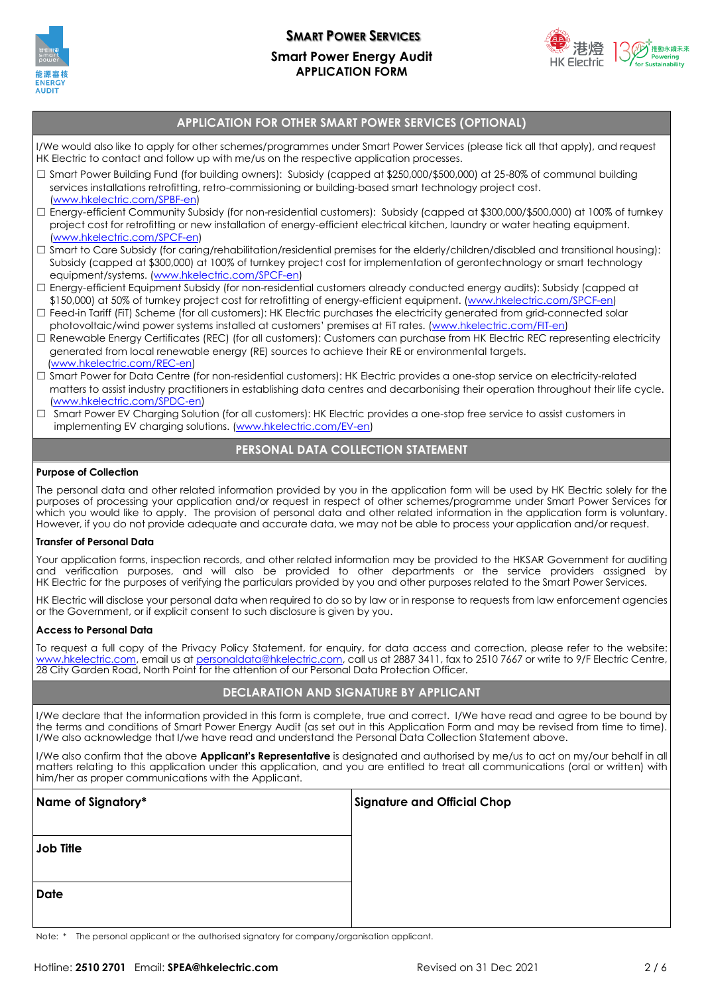

### **SMART POWER SERVICES Smart Power Energy Audit APPLICATION FORM**



#### **APPLICATION FOR OTHER SMART POWER SERVICES (OPTIONAL)**

I/We would also like to apply for other schemes/programmes under Smart Power Services (please tick all that apply), and request HK Electric to contact and follow up with me/us on the respective application processes.

- ☐ Smart Power Building Fund (for building owners): Subsidy (capped at \$250,000/\$500,000) at 25-80% of communal building services installations retrofitting, retro-commissioning or building-based smart technology project cost. [\(www.hkelectric.com/SPBF-en\)](http://www.hkelectric.com/SPBF-en)
- ☐ Energy-efficient Community Subsidy (for non-residential customers): Subsidy (capped at \$300,000/\$500,000) at 100% of turnkey project cost for retrofitting or new installation of energy-efficient electrical kitchen, laundry or water heating equipment. [\(www.hkelectric.com/SPCF-en\)](file:///C:/Users/41609/Desktop/www.hkelectric.com/SPCF-en)
- ☐ Smart to Care Subsidy (for caring/rehabilitation/residential premises for the elderly/children/disabled and transitional housing): Subsidy (capped at \$300,000) at 100% of turnkey project cost for implementation of gerontechnology or smart technology equipment/systems. [\(www.hkelectric.com/SPCF-en\)](http://www.hkelectric.com/SPCF-en)
- ☐ Energy-efficient Equipment Subsidy (for non-residential customers already conducted energy audits): Subsidy (capped at \$150,000) at 50% of turnkey project cost for retrofitting of energy-efficient equipment. [\(www.hkelectric.com/SPCF-en\)](http://www.hkelectric.com/SPCF-en)
- □ Feed-in Tariff (FiT) Scheme (for all customers): HK Electric purchases the electricity generated from grid-connected solar photovoltaic/wind power systems installed at customers' premises at FiT rates. ([www.hkelectric.com/FIT-en\)](http://www.hkelectric.com/FIT-en)
- □ Renewable Energy Certificates (REC) (for all customers): Customers can purchase from HK Electric REC representing electricity generated from local renewable energy (RE) sources to achieve their RE or environmental targets. [\(www.hkelectric.com/REC-en\)](http://www.hkelectric.com/REC-en)
- ☐ Smart Power for Data Centre (for non-residential customers): HK Electric provides a one-stop service on electricity-related matters to assist industry practitioners in establishing data centres and decarbonising their operation throughout their life cycle. [\(www.hkelectric.com/SPDC-en\)](http://www.hkelectric.com/SPDC-en)
- □ Smart Power EV Charging Solution (for all customers): HK Electric provides a one-stop free service to assist customers in implementing EV charging solutions. [\(www.hkelectric.com/EV-en\)](http://www.hkelectric.com/EV-en)

#### **PERSONAL DATA COLLECTION STATEMENT**

#### **Purpose of Collection**

The personal data and other related information provided by you in the application form will be used by HK Electric solely for the purposes of processing your application and/or request in respect of other schemes/programme under Smart Power Services for which you would like to apply. The provision of personal data and other related information in the application form is voluntary. However, if you do not provide adequate and accurate data, we may not be able to process your application and/or request.

#### **Transfer of Personal Data**

Your application forms, inspection records, and other related information may be provided to the HKSAR Government for auditing and verification purposes, and will also be provided to other departments or the service providers assigned by HK Electric for the purposes of verifying the particulars provided by you and other purposes related to the Smart Power Services.

HK Electric will disclose your personal data when required to do so by law or in response to requests from law enforcement agencies or the Government, or if explicit consent to such disclosure is given by you.

#### **Access to Personal Data**

To request a full copy of the Privacy Policy Statement, for enquiry, for data access and correction, please refer to the website: [www.hkelectric.com,](http://www.hkelectric.com/) email us at [personaldata@hkelectric.com,](mailto:personaldata@hkelectric.com) call us at 2887 3411, fax to 2510 7667 or write to 9/F Electric Centre, 28 City Garden Road, North Point for the attention of our Personal Data Protection Officer.

#### **DECLARATION AND SIGNATURE BY APPLICANT**

I/We declare that the information provided in this form is complete, true and correct. I/We have read and agree to be bound by the terms and conditions of Smart Power Energy Audit (as set out in this Application Form and may be revised from time to time). I/We also acknowledge that I/we have read and understand the Personal Data Collection Statement above.

I/We also confirm that the above **Applicant's Representative** is designated and authorised by me/us to act on my/our behalf in all matters relating to this application under this application, and you are entitled to treat all communications (oral or written) with him/her as proper communications with the Applicant.

| Name of Signatory* | <b>Signature and Official Chop</b> |
|--------------------|------------------------------------|
|                    |                                    |
| Job Title          |                                    |
|                    |                                    |
| <b>Date</b>        |                                    |
|                    |                                    |

Note: \* The personal applicant or the authorised signatory for company/organisation applicant.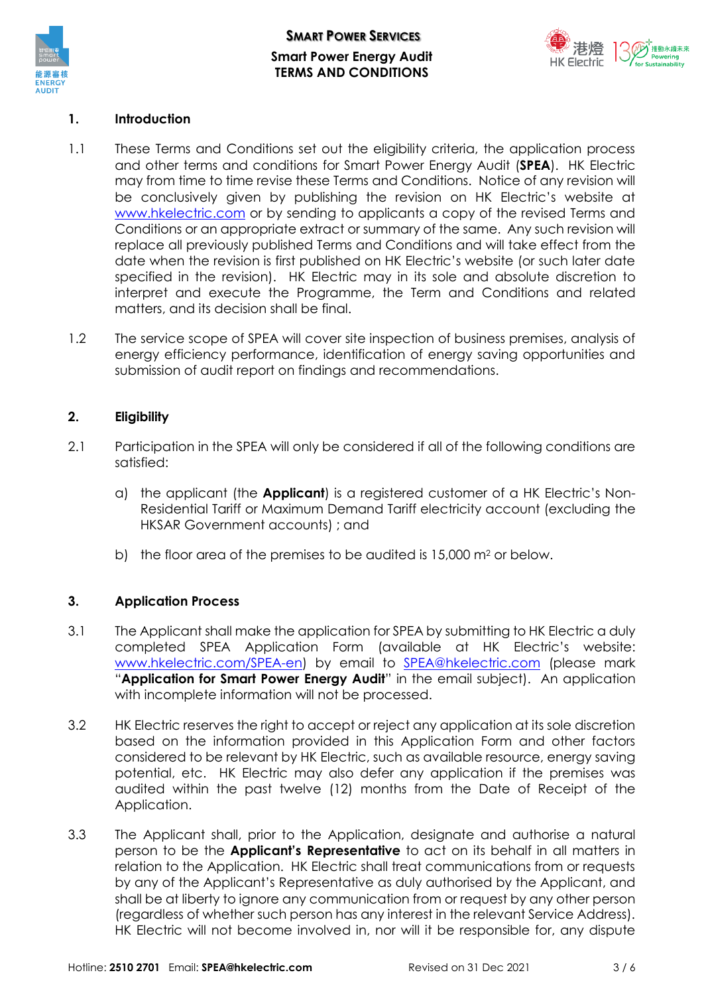



### **1. Introduction**

- 1.1 These Terms and Conditions set out the eligibility criteria, the application process and other terms and conditions for Smart Power Energy Audit (**SPEA**). HK Electric may from time to time revise these Terms and Conditions. Notice of any revision will be conclusively given by publishing the revision on HK Electric's website at [www.hkelectric.com](http://www.hkelectric.com/) or by sending to applicants a copy of the revised Terms and Conditions or an appropriate extract or summary of the same. Any such revision will replace all previously published Terms and Conditions and will take effect from the date when the revision is first published on HK Electric's website (or such later date specified in the revision). HK Electric may in its sole and absolute discretion to interpret and execute the Programme, the Term and Conditions and related matters, and its decision shall be final.
- 1.2 The service scope of SPEA will cover site inspection of business premises, analysis of energy efficiency performance, identification of energy saving opportunities and submission of audit report on findings and recommendations.

### **2. Eligibility**

- 2.1 Participation in the SPEA will only be considered if all of the following conditions are satisfied:
	- a) the applicant (the **Applicant**) is a registered customer of a HK Electric's Non-Residential Tariff or Maximum Demand Tariff electricity account (excluding the HKSAR Government accounts) ; and
	- b) the floor area of the premises to be audited is  $15,000$  m<sup>2</sup> or below.

# **3. Application Process**

- 3.1 The Applicant shall make the application for SPEA by submitting to HK Electric a duly completed SPEA Application Form (available at HK Electric's website: [www.hkelectric.com/SPEA-en\)](http://www.hkelectric.com/SPEA-en) by email to [SPEA@hkelectric.com](mailto:SPEA@hkelectric.com) (please mark "**Application for Smart Power Energy Audit**" in the email subject). An application with incomplete information will not be processed.
- 3.2 HK Electric reserves the right to accept or reject any application at its sole discretion based on the information provided in this Application Form and other factors considered to be relevant by HK Electric, such as available resource, energy saving potential, etc. HK Electric may also defer any application if the premises was audited within the past twelve (12) months from the Date of Receipt of the Application.
- 3.3 The Applicant shall, prior to the Application, designate and authorise a natural person to be the **Applicant's Representative** to act on its behalf in all matters in relation to the Application. HK Electric shall treat communications from or requests by any of the Applicant's Representative as duly authorised by the Applicant, and shall be at liberty to ignore any communication from or request by any other person (regardless of whether such person has any interest in the relevant Service Address). HK Electric will not become involved in, nor will it be responsible for, any dispute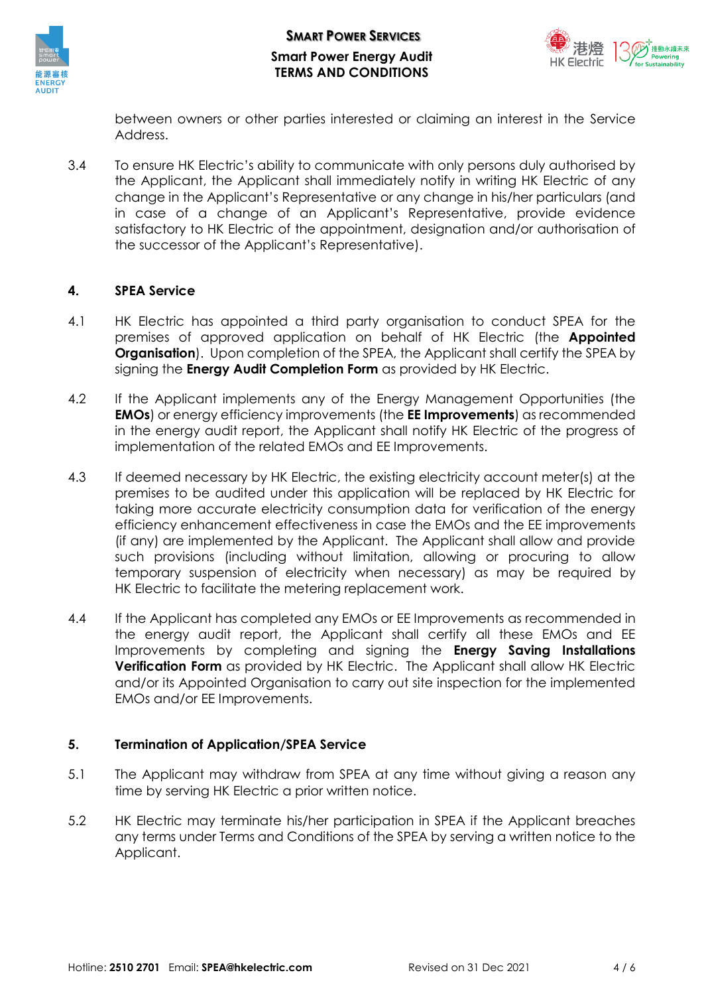



between owners or other parties interested or claiming an interest in the Service Address.

3.4 To ensure HK Electric's ability to communicate with only persons duly authorised by the Applicant, the Applicant shall immediately notify in writing HK Electric of any change in the Applicant's Representative or any change in his/her particulars (and in case of a change of an Applicant's Representative, provide evidence satisfactory to HK Electric of the appointment, designation and/or authorisation of the successor of the Applicant's Representative).

### **4. SPEA Service**

- 4.1 HK Electric has appointed a third party organisation to conduct SPEA for the premises of approved application on behalf of HK Electric (the **Appointed Organisation**). Upon completion of the SPEA, the Applicant shall certify the SPEA by signing the **Energy Audit Completion Form** as provided by HK Electric.
- 4.2 If the Applicant implements any of the Energy Management Opportunities (the **EMOs**) or energy efficiency improvements (the **EE Improvements**) as recommended in the energy audit report, the Applicant shall notify HK Electric of the progress of implementation of the related EMOs and EE Improvements.
- 4.3 If deemed necessary by HK Electric, the existing electricity account meter(s) at the premises to be audited under this application will be replaced by HK Electric for taking more accurate electricity consumption data for verification of the energy efficiency enhancement effectiveness in case the EMOs and the EE improvements (if any) are implemented by the Applicant. The Applicant shall allow and provide such provisions (including without limitation, allowing or procuring to allow temporary suspension of electricity when necessary) as may be required by HK Electric to facilitate the metering replacement work.
- 4.4 If the Applicant has completed any EMOs or EE Improvements as recommended in the energy audit report, the Applicant shall certify all these EMOs and EE Improvements by completing and signing the **Energy Saving Installations Verification Form** as provided by HK Electric. The Applicant shall allow HK Electric and/or its Appointed Organisation to carry out site inspection for the implemented EMOs and/or EE Improvements.

# **5. Termination of Application/SPEA Service**

- 5.1 The Applicant may withdraw from SPEA at any time without giving a reason any time by serving HK Electric a prior written notice.
- 5.2 HK Electric may terminate his/her participation in SPEA if the Applicant breaches any terms under Terms and Conditions of the SPEA by serving a written notice to the Applicant.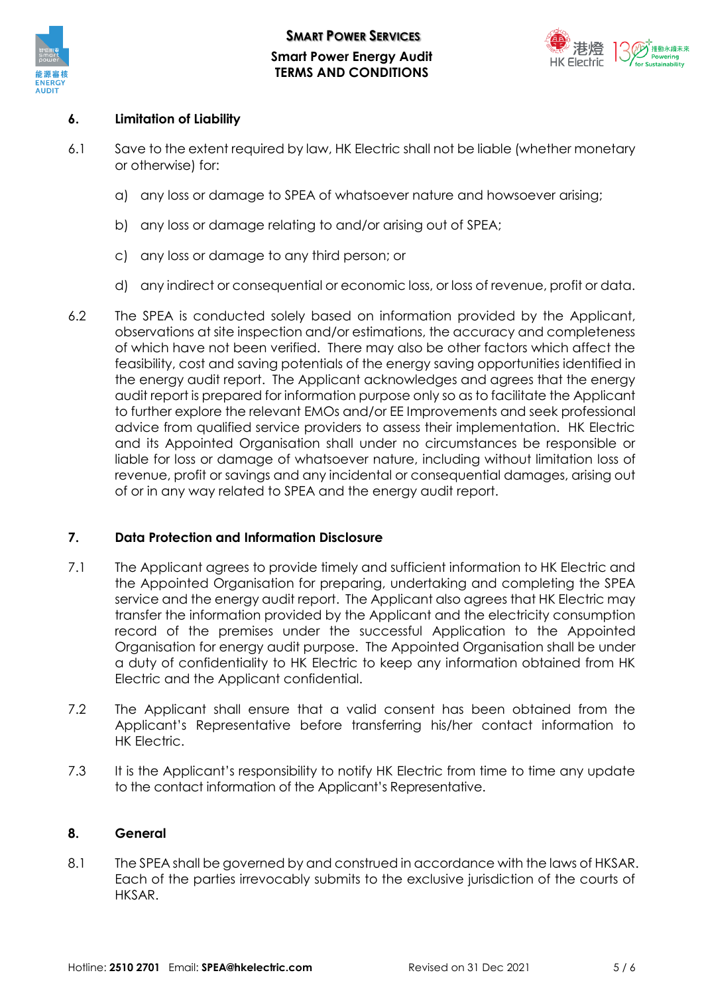

**SMART POWER SERVICES Smart Power Energy Audit TERMS AND CONDITIONS**



### **6. Limitation of Liability**

- 6.1 Save to the extent required by law, HK Electric shall not be liable (whether monetary or otherwise) for:
	- a) any loss or damage to SPEA of whatsoever nature and howsoever arising;
	- b) any loss or damage relating to and/or arising out of SPEA;
	- c) any loss or damage to any third person; or
	- d) any indirect or consequential or economic loss, or loss of revenue, profit or data.
- 6.2 The SPEA is conducted solely based on information provided by the Applicant, observations at site inspection and/or estimations, the accuracy and completeness of which have not been verified. There may also be other factors which affect the feasibility, cost and saving potentials of the energy saving opportunities identified in the energy audit report. The Applicant acknowledges and agrees that the energy audit report is prepared for information purpose only so as to facilitate the Applicant to further explore the relevant EMOs and/or EE Improvements and seek professional advice from qualified service providers to assess their implementation. HK Electric and its Appointed Organisation shall under no circumstances be responsible or liable for loss or damage of whatsoever nature, including without limitation loss of revenue, profit or savings and any incidental or consequential damages, arising out of or in any way related to SPEA and the energy audit report.

### **7. Data Protection and Information Disclosure**

- 7.1 The Applicant agrees to provide timely and sufficient information to HK Electric and the Appointed Organisation for preparing, undertaking and completing the SPEA service and the energy audit report. The Applicant also agrees that HK Electric may transfer the information provided by the Applicant and the electricity consumption record of the premises under the successful Application to the Appointed Organisation for energy audit purpose. The Appointed Organisation shall be under a duty of confidentiality to HK Electric to keep any information obtained from HK Electric and the Applicant confidential.
- 7.2 The Applicant shall ensure that a valid consent has been obtained from the Applicant's Representative before transferring his/her contact information to HK Electric.
- 7.3 It is the Applicant's responsibility to notify HK Electric from time to time any update to the contact information of the Applicant's Representative.

### **8. General**

8.1 The SPEA shall be governed by and construed in accordance with the laws of HKSAR. Each of the parties irrevocably submits to the exclusive jurisdiction of the courts of HKSAR.